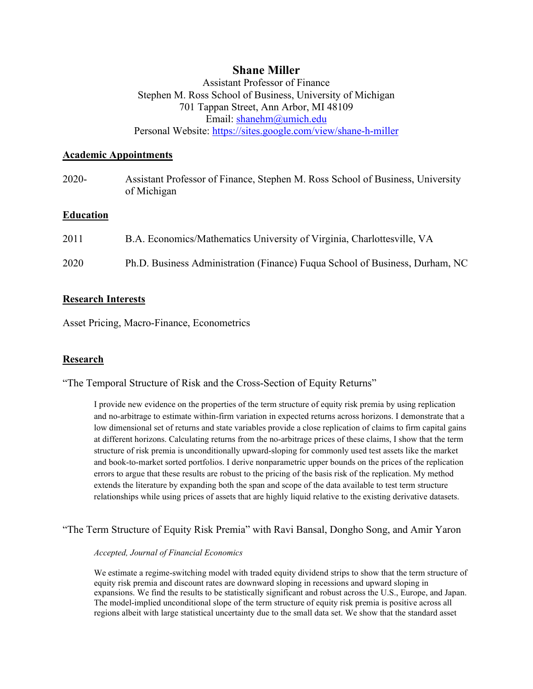# **Shane Miller**

Assistant Professor of Finance Stephen M. Ross School of Business, University of Michigan 701 Tappan Street, Ann Arbor, MI 48109 Email: [shanehm@umich.edu](mailto:shanehm@umich.edu) Personal Website:<https://sites.google.com/view/shane-h-miller>

## **Academic Appointments**

2020- Assistant Professor of Finance, Stephen M. Ross School of Business, University of Michigan

## **Education**

| 2011 | B.A. Economics/Mathematics University of Virginia, Charlottesville, VA       |
|------|------------------------------------------------------------------------------|
| 2020 | Ph.D. Business Administration (Finance) Fuqua School of Business, Durham, NC |

## **Research Interests**

Asset Pricing, Macro-Finance, Econometrics

## **Research**

"The Temporal Structure of Risk and the Cross-Section of Equity Returns"

I provide new evidence on the properties of the term structure of equity risk premia by using replication and no-arbitrage to estimate within-firm variation in expected returns across horizons. I demonstrate that a low dimensional set of returns and state variables provide a close replication of claims to firm capital gains at different horizons. Calculating returns from the no-arbitrage prices of these claims, I show that the term structure of risk premia is unconditionally upward-sloping for commonly used test assets like the market and book-to-market sorted portfolios. I derive nonparametric upper bounds on the prices of the replication errors to argue that these results are robust to the pricing of the basis risk of the replication. My method extends the literature by expanding both the span and scope of the data available to test term structure relationships while using prices of assets that are highly liquid relative to the existing derivative datasets.

"The Term Structure of Equity Risk Premia" with Ravi Bansal, Dongho Song, and Amir Yaron

#### *Accepted, Journal of Financial Economics*

We estimate a regime-switching model with traded equity dividend strips to show that the term structure of equity risk premia and discount rates are downward sloping in recessions and upward sloping in expansions. We find the results to be statistically significant and robust across the U.S., Europe, and Japan. The model-implied unconditional slope of the term structure of equity risk premia is positive across all regions albeit with large statistical uncertainty due to the small data set. We show that the standard asset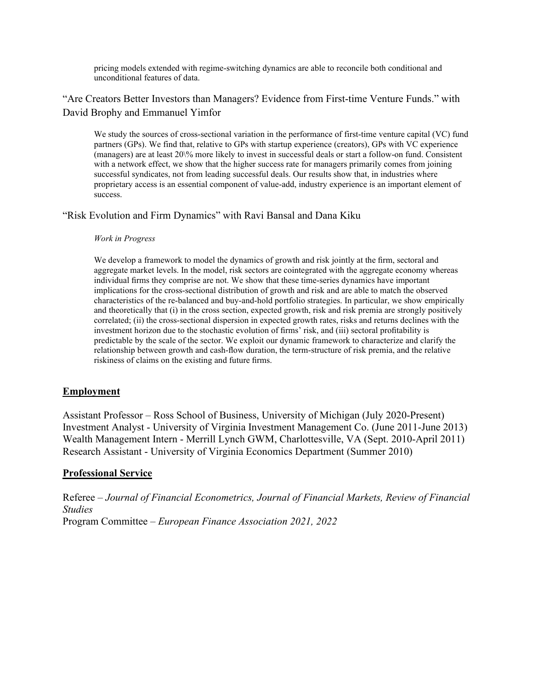pricing models extended with regime-switching dynamics are able to reconcile both conditional and unconditional features of data.

"Are Creators Better Investors than Managers? Evidence from First-time Venture Funds." with David Brophy and Emmanuel Yimfor

We study the sources of cross-sectional variation in the performance of first-time venture capital (VC) fund partners (GPs). We find that, relative to GPs with startup experience (creators), GPs with VC experience (managers) are at least 20\% more likely to invest in successful deals or start a follow-on fund. Consistent with a network effect, we show that the higher success rate for managers primarily comes from joining successful syndicates, not from leading successful deals. Our results show that, in industries where proprietary access is an essential component of value-add, industry experience is an important element of success.

"Risk Evolution and Firm Dynamics" with Ravi Bansal and Dana Kiku

#### *Work in Progress*

We develop a framework to model the dynamics of growth and risk jointly at the firm, sectoral and aggregate market levels. In the model, risk sectors are cointegrated with the aggregate economy whereas individual firms they comprise are not. We show that these time-series dynamics have important implications for the cross-sectional distribution of growth and risk and are able to match the observed characteristics of the re-balanced and buy-and-hold portfolio strategies. In particular, we show empirically and theoretically that (i) in the cross section, expected growth, risk and risk premia are strongly positively correlated; (ii) the cross-sectional dispersion in expected growth rates, risks and returns declines with the investment horizon due to the stochastic evolution of firms' risk, and (iii) sectoral profitability is predictable by the scale of the sector. We exploit our dynamic framework to characterize and clarify the relationship between growth and cash-flow duration, the term-structure of risk premia, and the relative riskiness of claims on the existing and future firms.

### **Employment**

Assistant Professor – Ross School of Business, University of Michigan (July 2020-Present) Investment Analyst - University of Virginia Investment Management Co. (June 2011-June 2013) Wealth Management Intern - Merrill Lynch GWM, Charlottesville, VA (Sept. 2010-April 2011) Research Assistant - University of Virginia Economics Department (Summer 2010)

### **Professional Service**

Referee – *Journal of Financial Econometrics, Journal of Financial Markets, Review of Financial Studies*  Program Committee – *European Finance Association 2021, 2022*